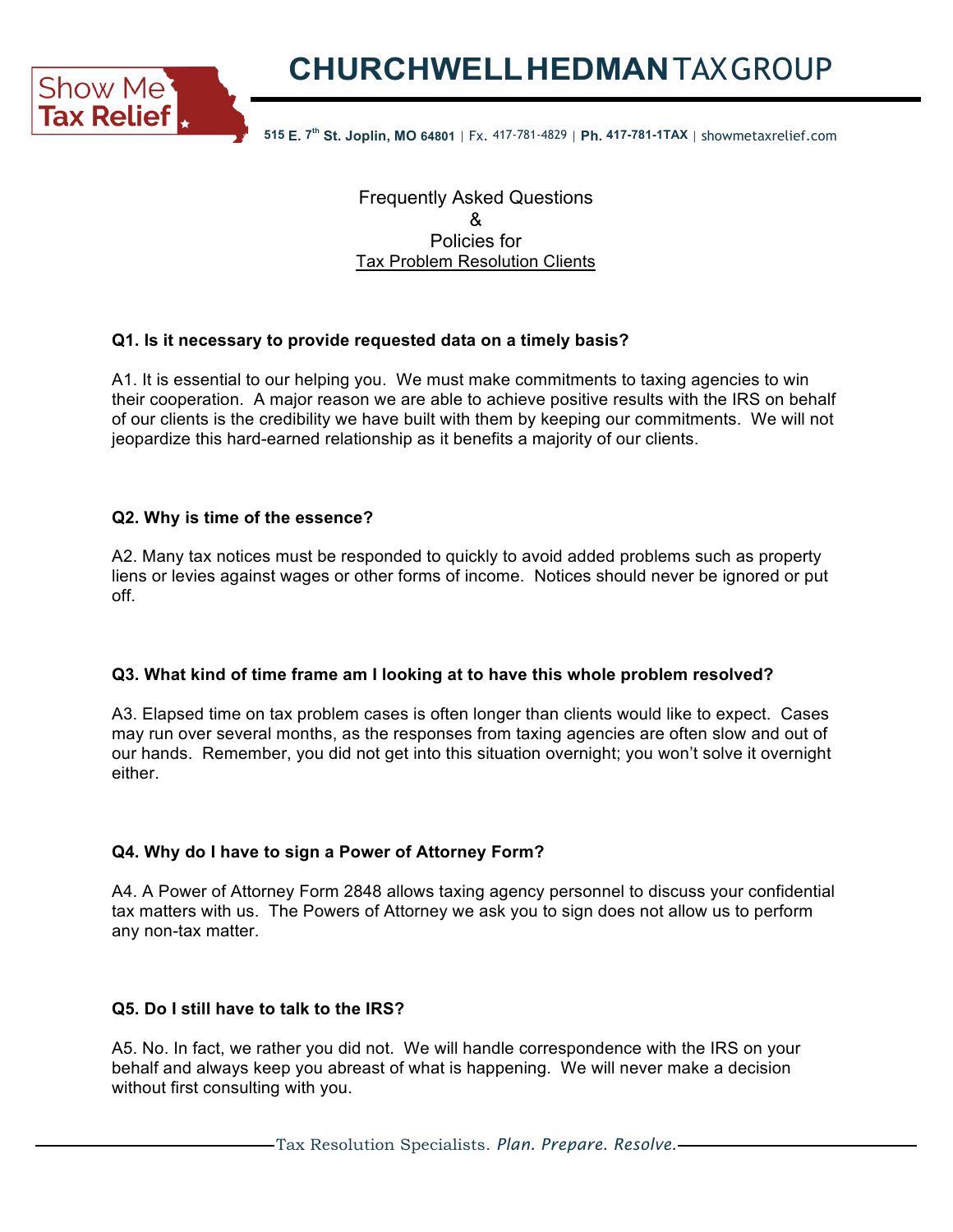**Tax Relief**  $\boldsymbol{\cdot}$  515 E. 7<sup>th</sup> St. Joplin, MO 64801 | Fx. 417-781-4829 | Ph. 417-781-1TAX | showmetaxrelief.com

Frequently Asked Questions & Policies for Tax Problem Resolution Clients

# **Q1. Is it necessary to provide requested data on a timely basis?**

A1. It is essential to our helping you. We must make commitments to taxing agencies to win their cooperation. A major reason we are able to achieve positive results with the IRS on behalf of our clients is the credibility we have built with them by keeping our commitments. We will not jeopardize this hard-earned relationship as it benefits a majority of our clients.

## **Q2. Why is time of the essence?**

A2. Many tax notices must be responded to quickly to avoid added problems such as property liens or levies against wages or other forms of income. Notices should never be ignored or put off.

# **Q3. What kind of time frame am I looking at to have this whole problem resolved?**

A3. Elapsed time on tax problem cases is often longer than clients would like to expect. Cases may run over several months, as the responses from taxing agencies are often slow and out of our hands. Remember, you did not get into this situation overnight; you won't solve it overnight either.

# **Q4. Why do I have to sign a Power of Attorney Form?**

A4. A Power of Attorney Form 2848 allows taxing agency personnel to discuss your confidential tax matters with us. The Powers of Attorney we ask you to sign does not allow us to perform any non-tax matter.

# **Q5. Do I still have to talk to the IRS?**

A5. No. In fact, we rather you did not. We will handle correspondence with the IRS on your behalf and always keep you abreast of what is happening. We will never make a decision without first consulting with you.